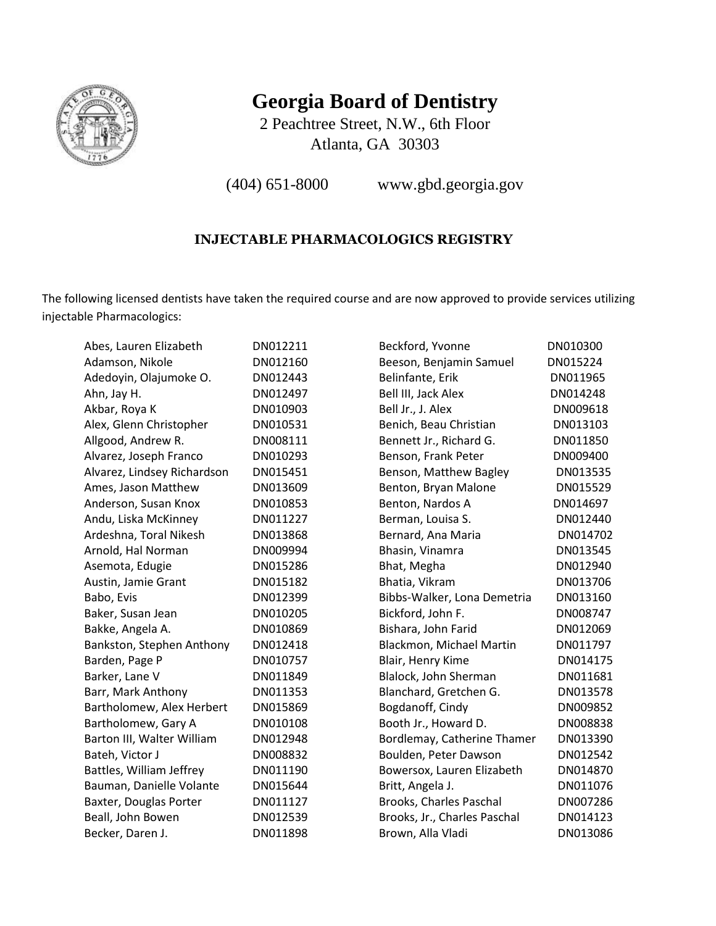

## **Georgia Board of Dentistry**

2 Peachtree Street, N.W., 6th Floor Atlanta, GA 30303

(404) 651-8000 www.gbd.georgia.gov

## **INJECTABLE PHARMACOLOGICS REGISTRY**

The following licensed dentists have taken the required course and are now approved to provide services utilizing injectable Pharmacologics:

| Abes, Lauren Elizabeth      | DN012211 | Beckford, Yvonne             | DN010300 |
|-----------------------------|----------|------------------------------|----------|
| Adamson, Nikole             | DN012160 | Beeson, Benjamin Samuel      | DN015224 |
| Adedoyin, Olajumoke O.      | DN012443 | Belinfante, Erik             | DN011965 |
| Ahn, Jay H.                 | DN012497 | Bell III, Jack Alex          | DN014248 |
| Akbar, Roya K               | DN010903 | Bell Jr., J. Alex            | DN009618 |
| Alex, Glenn Christopher     | DN010531 | Benich, Beau Christian       | DN013103 |
| Allgood, Andrew R.          | DN008111 | Bennett Jr., Richard G.      | DN011850 |
| Alvarez, Joseph Franco      | DN010293 | Benson, Frank Peter          | DN009400 |
| Alvarez, Lindsey Richardson | DN015451 | Benson, Matthew Bagley       | DN013535 |
| Ames, Jason Matthew         | DN013609 | Benton, Bryan Malone         | DN015529 |
| Anderson, Susan Knox        | DN010853 | Benton, Nardos A             | DN014697 |
| Andu, Liska McKinney        | DN011227 | Berman, Louisa S.            | DN012440 |
| Ardeshna, Toral Nikesh      | DN013868 | Bernard, Ana Maria           | DN014702 |
| Arnold, Hal Norman          | DN009994 | Bhasin, Vinamra              | DN013545 |
| Asemota, Edugie             | DN015286 | Bhat, Megha                  | DN012940 |
| Austin, Jamie Grant         | DN015182 | Bhatia, Vikram               | DN013706 |
| Babo, Evis                  | DN012399 | Bibbs-Walker, Lona Demetria  | DN013160 |
| Baker, Susan Jean           | DN010205 | Bickford, John F.            | DN008747 |
| Bakke, Angela A.            | DN010869 | Bishara, John Farid          | DN012069 |
| Bankston, Stephen Anthony   | DN012418 | Blackmon, Michael Martin     | DN011797 |
| Barden, Page P              | DN010757 | Blair, Henry Kime            | DN014175 |
| Barker, Lane V              | DN011849 | Blalock, John Sherman        | DN011681 |
| Barr, Mark Anthony          | DN011353 | Blanchard, Gretchen G.       | DN013578 |
| Bartholomew, Alex Herbert   | DN015869 | Bogdanoff, Cindy             | DN009852 |
| Bartholomew, Gary A         | DN010108 | Booth Jr., Howard D.         | DN008838 |
| Barton III, Walter William  | DN012948 | Bordlemay, Catherine Thamer  | DN013390 |
| Bateh, Victor J             | DN008832 | Boulden, Peter Dawson        | DN012542 |
| Battles, William Jeffrey    | DN011190 | Bowersox, Lauren Elizabeth   | DN014870 |
| Bauman, Danielle Volante    | DN015644 | Britt, Angela J.             | DN011076 |
| Baxter, Douglas Porter      | DN011127 | Brooks, Charles Paschal      | DN007286 |
| Beall, John Bowen           | DN012539 | Brooks, Jr., Charles Paschal | DN014123 |
| Becker, Daren J.            | DN011898 | Brown, Alla Vladi            | DN013086 |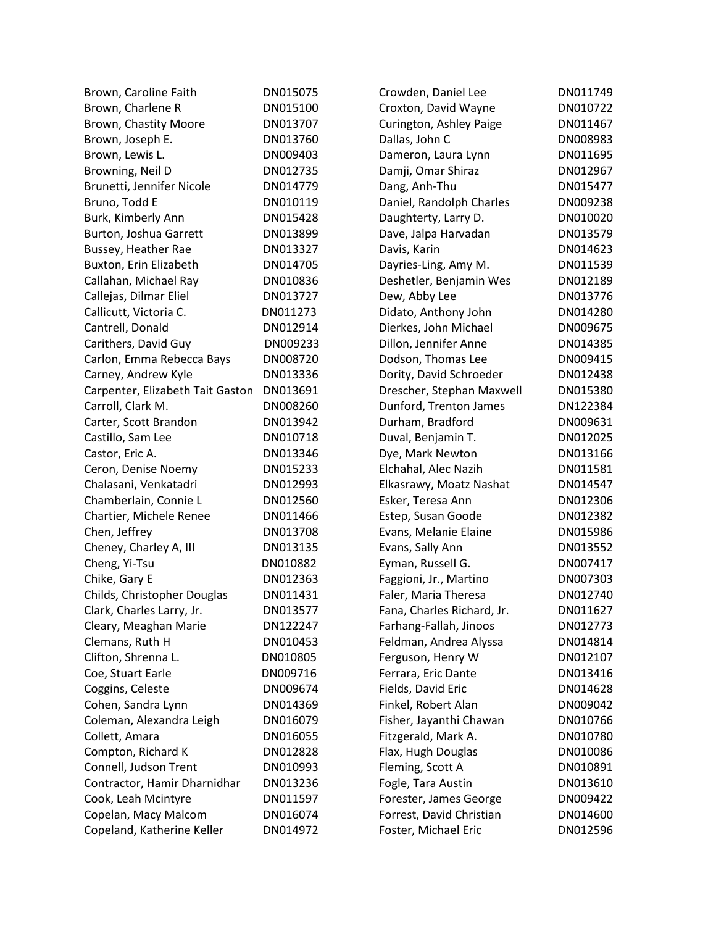| Brown, Caroline Faith            | DN015075 | Crowden, Daniel Lee        | DN011749 |
|----------------------------------|----------|----------------------------|----------|
| Brown, Charlene R                | DN015100 | Croxton, David Wayne       | DN010722 |
| Brown, Chastity Moore            | DN013707 | Curington, Ashley Paige    | DN011467 |
| Brown, Joseph E.                 | DN013760 | Dallas, John C             | DN008983 |
| Brown, Lewis L.                  | DN009403 | Dameron, Laura Lynn        | DN011695 |
| Browning, Neil D                 | DN012735 | Damji, Omar Shiraz         | DN012967 |
| Brunetti, Jennifer Nicole        | DN014779 | Dang, Anh-Thu              | DN015477 |
| Bruno, Todd E                    | DN010119 | Daniel, Randolph Charles   | DN009238 |
| Burk, Kimberly Ann               | DN015428 | Daughterty, Larry D.       | DN010020 |
| Burton, Joshua Garrett           | DN013899 | Dave, Jalpa Harvadan       | DN013579 |
| Bussey, Heather Rae              | DN013327 | Davis, Karin               | DN014623 |
| Buxton, Erin Elizabeth           | DN014705 | Dayries-Ling, Amy M.       | DN011539 |
| Callahan, Michael Ray            | DN010836 | Deshetler, Benjamin Wes    | DN012189 |
| Callejas, Dilmar Eliel           | DN013727 | Dew, Abby Lee              | DN013776 |
| Callicutt, Victoria C.           | DN011273 | Didato, Anthony John       | DN014280 |
| Cantrell, Donald                 | DN012914 | Dierkes, John Michael      | DN009675 |
| Carithers, David Guy             | DN009233 | Dillon, Jennifer Anne      | DN014385 |
| Carlon, Emma Rebecca Bays        | DN008720 | Dodson, Thomas Lee         | DN009415 |
| Carney, Andrew Kyle              | DN013336 | Dority, David Schroeder    | DN012438 |
| Carpenter, Elizabeth Tait Gaston | DN013691 | Drescher, Stephan Maxwell  | DN015380 |
| Carroll, Clark M.                | DN008260 | Dunford, Trenton James     | DN122384 |
| Carter, Scott Brandon            | DN013942 | Durham, Bradford           | DN009631 |
| Castillo, Sam Lee                | DN010718 | Duval, Benjamin T.         | DN012025 |
| Castor, Eric A.                  | DN013346 | Dye, Mark Newton           | DN013166 |
| Ceron, Denise Noemy              | DN015233 | Elchahal, Alec Nazih       | DN011581 |
| Chalasani, Venkatadri            | DN012993 | Elkasrawy, Moatz Nashat    | DN014547 |
| Chamberlain, Connie L            | DN012560 | Esker, Teresa Ann          | DN012306 |
| Chartier, Michele Renee          | DN011466 | Estep, Susan Goode         | DN012382 |
| Chen, Jeffrey                    | DN013708 | Evans, Melanie Elaine      | DN015986 |
| Cheney, Charley A, III           | DN013135 | Evans, Sally Ann           | DN013552 |
| Cheng, Yi-Tsu                    | DN010882 | Eyman, Russell G.          | DN007417 |
| Chike, Gary E                    | DN012363 | Faggioni, Jr., Martino     | DN007303 |
| Childs, Christopher Douglas      | DN011431 | Faler, Maria Theresa       | DN012740 |
| Clark, Charles Larry, Jr.        | DN013577 | Fana, Charles Richard, Jr. | DN011627 |
| Cleary, Meaghan Marie            | DN122247 | Farhang-Fallah, Jinoos     | DN012773 |
| Clemans, Ruth H                  | DN010453 | Feldman, Andrea Alyssa     | DN014814 |
| Clifton, Shrenna L.              | DN010805 | Ferguson, Henry W          | DN012107 |
| Coe, Stuart Earle                | DN009716 | Ferrara, Eric Dante        | DN013416 |
| Coggins, Celeste                 | DN009674 | Fields, David Eric         | DN014628 |
| Cohen, Sandra Lynn               | DN014369 | Finkel, Robert Alan        | DN009042 |
| Coleman, Alexandra Leigh         | DN016079 | Fisher, Jayanthi Chawan    | DN010766 |
| Collett, Amara                   | DN016055 | Fitzgerald, Mark A.        | DN010780 |
| Compton, Richard K               | DN012828 | Flax, Hugh Douglas         | DN010086 |
| Connell, Judson Trent            | DN010993 | Fleming, Scott A           | DN010891 |
| Contractor, Hamir Dharnidhar     | DN013236 | Fogle, Tara Austin         | DN013610 |
| Cook, Leah Mcintyre              | DN011597 | Forester, James George     | DN009422 |
| Copelan, Macy Malcom             | DN016074 | Forrest, David Christian   | DN014600 |
| Copeland, Katherine Keller       | DN014972 | Foster, Michael Eric       | DN012596 |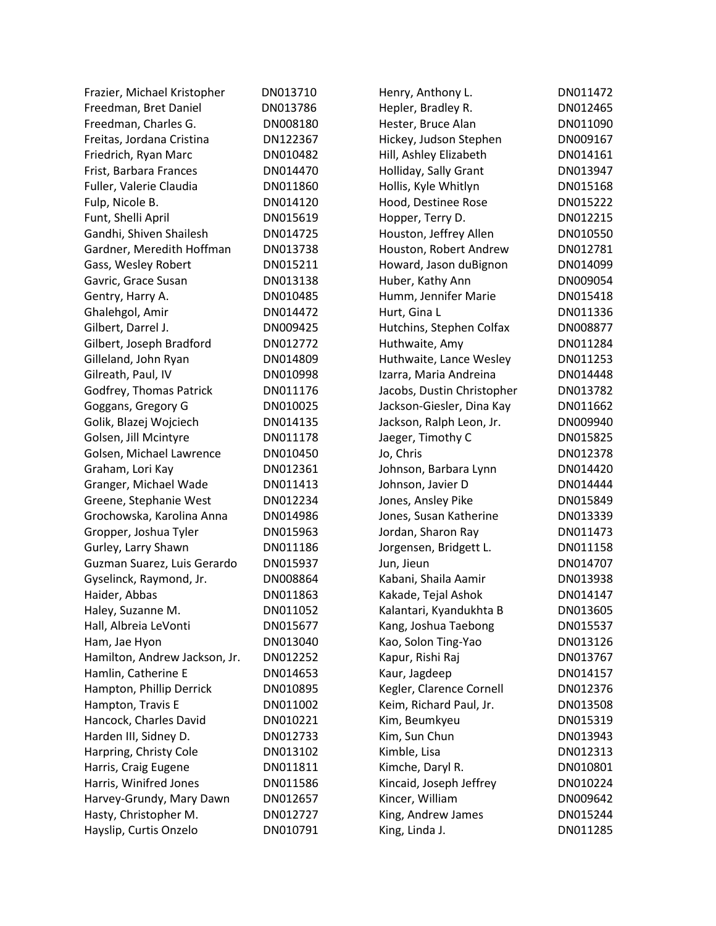| Frazier, Michael Kristopher   | DN013710 | Henry, Anthony L.          | DN011472 |
|-------------------------------|----------|----------------------------|----------|
| Freedman, Bret Daniel         | DN013786 | Hepler, Bradley R.         | DN012465 |
| Freedman, Charles G.          | DN008180 | Hester, Bruce Alan         | DN011090 |
| Freitas, Jordana Cristina     | DN122367 | Hickey, Judson Stephen     | DN009167 |
| Friedrich, Ryan Marc          | DN010482 | Hill, Ashley Elizabeth     | DN014161 |
| Frist, Barbara Frances        | DN014470 | Holliday, Sally Grant      | DN013947 |
| Fuller, Valerie Claudia       | DN011860 | Hollis, Kyle Whitlyn       | DN015168 |
| Fulp, Nicole B.               | DN014120 | Hood, Destinee Rose        | DN015222 |
| Funt, Shelli April            | DN015619 | Hopper, Terry D.           | DN012215 |
| Gandhi, Shiven Shailesh       | DN014725 | Houston, Jeffrey Allen     | DN010550 |
| Gardner, Meredith Hoffman     | DN013738 | Houston, Robert Andrew     | DN012781 |
| Gass, Wesley Robert           | DN015211 | Howard, Jason duBignon     | DN014099 |
| Gavric, Grace Susan           | DN013138 | Huber, Kathy Ann           | DN009054 |
| Gentry, Harry A.              | DN010485 | Humm, Jennifer Marie       | DN015418 |
| Ghalehgol, Amir               | DN014472 | Hurt, Gina L               | DN011336 |
| Gilbert, Darrel J.            | DN009425 | Hutchins, Stephen Colfax   | DN008877 |
| Gilbert, Joseph Bradford      | DN012772 | Huthwaite, Amy             | DN011284 |
| Gilleland, John Ryan          | DN014809 | Huthwaite, Lance Wesley    | DN011253 |
| Gilreath, Paul, IV            | DN010998 | Izarra, Maria Andreina     | DN014448 |
| Godfrey, Thomas Patrick       | DN011176 | Jacobs, Dustin Christopher | DN013782 |
|                               | DN010025 |                            | DN011662 |
| Goggans, Gregory G            |          | Jackson-Giesler, Dina Kay  |          |
| Golik, Blazej Wojciech        | DN014135 | Jackson, Ralph Leon, Jr.   | DN009940 |
| Golsen, Jill Mcintyre         | DN011178 | Jaeger, Timothy C          | DN015825 |
| Golsen, Michael Lawrence      | DN010450 | Jo, Chris                  | DN012378 |
| Graham, Lori Kay              | DN012361 | Johnson, Barbara Lynn      | DN014420 |
| Granger, Michael Wade         | DN011413 | Johnson, Javier D          | DN014444 |
| Greene, Stephanie West        | DN012234 | Jones, Ansley Pike         | DN015849 |
| Grochowska, Karolina Anna     | DN014986 | Jones, Susan Katherine     | DN013339 |
| Gropper, Joshua Tyler         | DN015963 | Jordan, Sharon Ray         | DN011473 |
| Gurley, Larry Shawn           | DN011186 | Jorgensen, Bridgett L.     | DN011158 |
| Guzman Suarez, Luis Gerardo   | DN015937 | Jun, Jieun                 | DN014707 |
| Gyselinck, Raymond, Jr.       | DN008864 | Kabani, Shaila Aamir       | DN013938 |
| Haider, Abbas                 | DN011863 | Kakade, Tejal Ashok        | DN014147 |
| Haley, Suzanne M.             | DN011052 | Kalantari, Kyandukhta B    | DN013605 |
| Hall, Albreia LeVonti         | DN015677 | Kang, Joshua Taebong       | DN015537 |
| Ham, Jae Hyon                 | DN013040 | Kao, Solon Ting-Yao        | DN013126 |
| Hamilton, Andrew Jackson, Jr. | DN012252 | Kapur, Rishi Raj           | DN013767 |
| Hamlin, Catherine E           | DN014653 | Kaur, Jagdeep              | DN014157 |
| Hampton, Phillip Derrick      | DN010895 | Kegler, Clarence Cornell   | DN012376 |
| Hampton, Travis E             | DN011002 | Keim, Richard Paul, Jr.    | DN013508 |
| Hancock, Charles David        | DN010221 | Kim, Beumkyeu              | DN015319 |
| Harden III, Sidney D.         | DN012733 | Kim, Sun Chun              | DN013943 |
| Harpring, Christy Cole        | DN013102 | Kimble, Lisa               | DN012313 |
| Harris, Craig Eugene          | DN011811 | Kimche, Daryl R.           | DN010801 |
| Harris, Winifred Jones        | DN011586 | Kincaid, Joseph Jeffrey    | DN010224 |
| Harvey-Grundy, Mary Dawn      | DN012657 | Kincer, William            | DN009642 |
| Hasty, Christopher M.         | DN012727 | King, Andrew James         | DN015244 |
| Hayslip, Curtis Onzelo        | DN010791 | King, Linda J.             | DN011285 |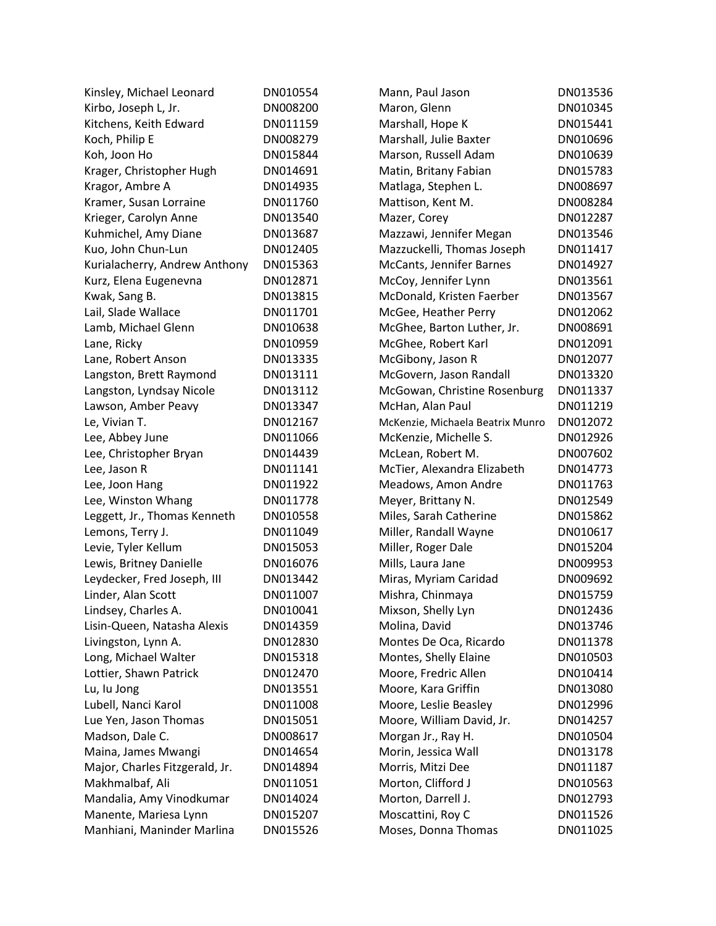| Kinsley, Michael Leonard       | DN010554 | Mann, Paul Jason                 | DN013536 |
|--------------------------------|----------|----------------------------------|----------|
| Kirbo, Joseph L, Jr.           | DN008200 | Maron, Glenn                     | DN010345 |
| Kitchens, Keith Edward         | DN011159 | Marshall, Hope K                 | DN015441 |
| Koch, Philip E                 | DN008279 | Marshall, Julie Baxter           | DN010696 |
| Koh, Joon Ho                   | DN015844 | Marson, Russell Adam             | DN010639 |
| Krager, Christopher Hugh       | DN014691 | Matin, Britany Fabian            | DN015783 |
| Kragor, Ambre A                | DN014935 | Matlaga, Stephen L.              | DN008697 |
| Kramer, Susan Lorraine         | DN011760 | Mattison, Kent M.                | DN008284 |
| Krieger, Carolyn Anne          | DN013540 | Mazer, Corey                     | DN012287 |
| Kuhmichel, Amy Diane           | DN013687 | Mazzawi, Jennifer Megan          | DN013546 |
| Kuo, John Chun-Lun             | DN012405 | Mazzuckelli, Thomas Joseph       | DN011417 |
| Kurialacherry, Andrew Anthony  | DN015363 | McCants, Jennifer Barnes         | DN014927 |
| Kurz, Elena Eugenevna          | DN012871 | McCoy, Jennifer Lynn             | DN013561 |
| Kwak, Sang B.                  | DN013815 | McDonald, Kristen Faerber        | DN013567 |
| Lail, Slade Wallace            | DN011701 | McGee, Heather Perry             | DN012062 |
| Lamb, Michael Glenn            | DN010638 | McGhee, Barton Luther, Jr.       | DN008691 |
| Lane, Ricky                    | DN010959 | McGhee, Robert Karl              | DN012091 |
| Lane, Robert Anson             | DN013335 | McGibony, Jason R                | DN012077 |
| Langston, Brett Raymond        | DN013111 | McGovern, Jason Randall          | DN013320 |
| Langston, Lyndsay Nicole       | DN013112 | McGowan, Christine Rosenburg     | DN011337 |
| Lawson, Amber Peavy            | DN013347 | McHan, Alan Paul                 | DN011219 |
| Le, Vivian T.                  | DN012167 | McKenzie, Michaela Beatrix Munro | DN012072 |
| Lee, Abbey June                | DN011066 | McKenzie, Michelle S.            | DN012926 |
| Lee, Christopher Bryan         | DN014439 | McLean, Robert M.                | DN007602 |
| Lee, Jason R                   | DN011141 | McTier, Alexandra Elizabeth      | DN014773 |
| Lee, Joon Hang                 | DN011922 | Meadows, Amon Andre              | DN011763 |
| Lee, Winston Whang             | DN011778 | Meyer, Brittany N.               | DN012549 |
| Leggett, Jr., Thomas Kenneth   | DN010558 | Miles, Sarah Catherine           | DN015862 |
| Lemons, Terry J.               | DN011049 | Miller, Randall Wayne            | DN010617 |
| Levie, Tyler Kellum            | DN015053 | Miller, Roger Dale               | DN015204 |
| Lewis, Britney Danielle        | DN016076 | Mills, Laura Jane                | DN009953 |
| Leydecker, Fred Joseph, III    | DN013442 | Miras, Myriam Caridad            | DN009692 |
| Linder, Alan Scott             | DN011007 | Mishra, Chinmaya                 | DN015759 |
| Lindsey, Charles A.            | DN010041 | Mixson, Shelly Lyn               | DN012436 |
| Lisin-Queen, Natasha Alexis    | DN014359 | Molina, David                    | DN013746 |
| Livingston, Lynn A.            | DN012830 | Montes De Oca, Ricardo           | DN011378 |
| Long, Michael Walter           | DN015318 | Montes, Shelly Elaine            | DN010503 |
| Lottier, Shawn Patrick         | DN012470 | Moore, Fredric Allen             | DN010414 |
| Lu, lu Jong                    | DN013551 | Moore, Kara Griffin              | DN013080 |
| Lubell, Nanci Karol            | DN011008 | Moore, Leslie Beasley            | DN012996 |
| Lue Yen, Jason Thomas          | DN015051 | Moore, William David, Jr.        | DN014257 |
| Madson, Dale C.                | DN008617 | Morgan Jr., Ray H.               | DN010504 |
| Maina, James Mwangi            | DN014654 | Morin, Jessica Wall              | DN013178 |
| Major, Charles Fitzgerald, Jr. | DN014894 | Morris, Mitzi Dee                | DN011187 |
| Makhmalbaf, Ali                | DN011051 | Morton, Clifford J               | DN010563 |
| Mandalia, Amy Vinodkumar       | DN014024 | Morton, Darrell J.               | DN012793 |
| Manente, Mariesa Lynn          | DN015207 | Moscattini, Roy C                | DN011526 |
| Manhiani, Maninder Marlina     | DN015526 | Moses, Donna Thomas              | DN011025 |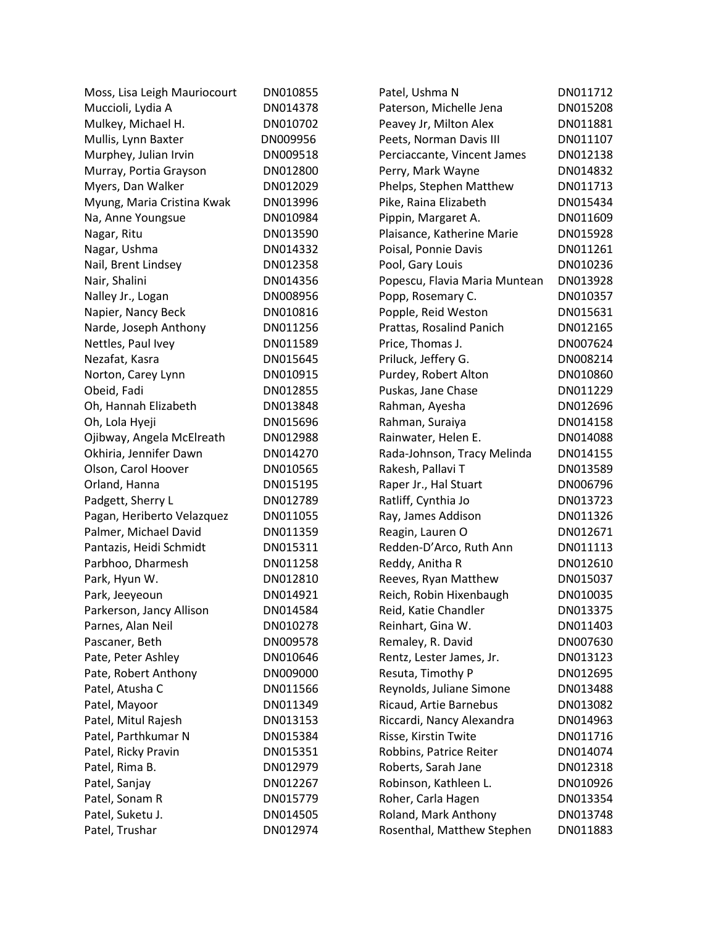| Moss, Lisa Leigh Mauriocourt | DN010855 | Patel, Ushma N                | DN011712 |
|------------------------------|----------|-------------------------------|----------|
| Muccioli, Lydia A            | DN014378 | Paterson, Michelle Jena       | DN015208 |
| Mulkey, Michael H.           | DN010702 | Peavey Jr, Milton Alex        | DN011881 |
| Mullis, Lynn Baxter          | DN009956 | Peets, Norman Davis III       | DN011107 |
| Murphey, Julian Irvin        | DN009518 | Perciaccante, Vincent James   | DN012138 |
| Murray, Portia Grayson       | DN012800 | Perry, Mark Wayne             | DN014832 |
| Myers, Dan Walker            | DN012029 | Phelps, Stephen Matthew       | DN011713 |
| Myung, Maria Cristina Kwak   | DN013996 | Pike, Raina Elizabeth         | DN015434 |
| Na, Anne Youngsue            | DN010984 | Pippin, Margaret A.           | DN011609 |
| Nagar, Ritu                  | DN013590 | Plaisance, Katherine Marie    | DN015928 |
| Nagar, Ushma                 | DN014332 | Poisal, Ponnie Davis          | DN011261 |
| Nail, Brent Lindsey          | DN012358 | Pool, Gary Louis              | DN010236 |
| Nair, Shalini                | DN014356 | Popescu, Flavia Maria Muntean | DN013928 |
| Nalley Jr., Logan            | DN008956 | Popp, Rosemary C.             | DN010357 |
| Napier, Nancy Beck           | DN010816 | Popple, Reid Weston           | DN015631 |
| Narde, Joseph Anthony        | DN011256 | Prattas, Rosalind Panich      | DN012165 |
| Nettles, Paul Ivey           | DN011589 | Price, Thomas J.              | DN007624 |
| Nezafat, Kasra               | DN015645 | Priluck, Jeffery G.           | DN008214 |
| Norton, Carey Lynn           | DN010915 | Purdey, Robert Alton          | DN010860 |
| Obeid, Fadi                  | DN012855 | Puskas, Jane Chase            | DN011229 |
| Oh, Hannah Elizabeth         | DN013848 | Rahman, Ayesha                | DN012696 |
| Oh, Lola Hyeji               | DN015696 | Rahman, Suraiya               | DN014158 |
| Ojibway, Angela McElreath    | DN012988 | Rainwater, Helen E.           | DN014088 |
| Okhiria, Jennifer Dawn       | DN014270 | Rada-Johnson, Tracy Melinda   | DN014155 |
| Olson, Carol Hoover          | DN010565 | Rakesh, Pallavi T             | DN013589 |
| Orland, Hanna                | DN015195 | Raper Jr., Hal Stuart         | DN006796 |
| Padgett, Sherry L            | DN012789 | Ratliff, Cynthia Jo           | DN013723 |
| Pagan, Heriberto Velazquez   | DN011055 | Ray, James Addison            | DN011326 |
| Palmer, Michael David        | DN011359 | Reagin, Lauren O              | DN012671 |
| Pantazis, Heidi Schmidt      | DN015311 | Redden-D'Arco, Ruth Ann       | DN011113 |
| Parbhoo, Dharmesh            | DN011258 | Reddy, Anitha R               | DN012610 |
| Park, Hyun W.                | DN012810 | Reeves, Ryan Matthew          | DN015037 |
| Park, Jeeyeoun               | DN014921 | Reich, Robin Hixenbaugh       | DN010035 |
| Parkerson, Jancy Allison     | DN014584 | Reid, Katie Chandler          | DN013375 |
| Parnes, Alan Neil            | DN010278 | Reinhart, Gina W.             | DN011403 |
| Pascaner, Beth               | DN009578 | Remaley, R. David             | DN007630 |
| Pate, Peter Ashley           | DN010646 | Rentz, Lester James, Jr.      | DN013123 |
| Pate, Robert Anthony         | DN009000 | Resuta, Timothy P             | DN012695 |
| Patel, Atusha C              | DN011566 | Reynolds, Juliane Simone      | DN013488 |
| Patel, Mayoor                | DN011349 | Ricaud, Artie Barnebus        | DN013082 |
| Patel, Mitul Rajesh          | DN013153 | Riccardi, Nancy Alexandra     | DN014963 |
| Patel, Parthkumar N          | DN015384 | Risse, Kirstin Twite          | DN011716 |
| Patel, Ricky Pravin          | DN015351 | Robbins, Patrice Reiter       | DN014074 |
| Patel, Rima B.               | DN012979 | Roberts, Sarah Jane           | DN012318 |
| Patel, Sanjay                | DN012267 | Robinson, Kathleen L.         | DN010926 |
| Patel, Sonam R               | DN015779 | Roher, Carla Hagen            | DN013354 |
| Patel, Suketu J.             | DN014505 | Roland, Mark Anthony          | DN013748 |
| Patel, Trushar               | DN012974 | Rosenthal, Matthew Stephen    | DN011883 |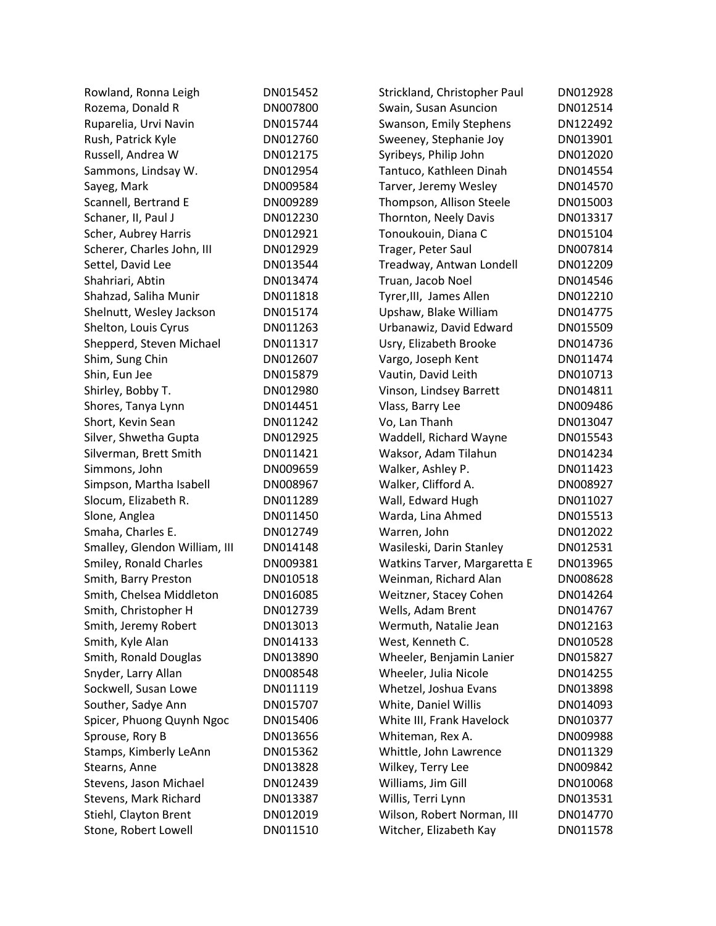| Rowland, Ronna Leigh          | DN015452 | Strickland, Christopher Paul | DN012928 |
|-------------------------------|----------|------------------------------|----------|
| Rozema, Donald R              | DN007800 | Swain, Susan Asuncion        | DN012514 |
| Ruparelia, Urvi Navin         | DN015744 | Swanson, Emily Stephens      | DN122492 |
| Rush, Patrick Kyle            | DN012760 | Sweeney, Stephanie Joy       | DN013901 |
| Russell, Andrea W             | DN012175 | Syribeys, Philip John        | DN012020 |
| Sammons, Lindsay W.           | DN012954 | Tantuco, Kathleen Dinah      | DN014554 |
| Sayeg, Mark                   | DN009584 | Tarver, Jeremy Wesley        | DN014570 |
| Scannell, Bertrand E          | DN009289 | Thompson, Allison Steele     | DN015003 |
| Schaner, II, Paul J           | DN012230 | Thornton, Neely Davis        | DN013317 |
| Scher, Aubrey Harris          | DN012921 | Tonoukouin, Diana C          | DN015104 |
| Scherer, Charles John, III    | DN012929 | Trager, Peter Saul           | DN007814 |
| Settel, David Lee             | DN013544 | Treadway, Antwan Londell     | DN012209 |
| Shahriari, Abtin              | DN013474 | Truan, Jacob Noel            | DN014546 |
| Shahzad, Saliha Munir         | DN011818 | Tyrer, III, James Allen      | DN012210 |
| Shelnutt, Wesley Jackson      | DN015174 | Upshaw, Blake William        | DN014775 |
| Shelton, Louis Cyrus          | DN011263 | Urbanawiz, David Edward      | DN015509 |
| Shepperd, Steven Michael      | DN011317 | Usry, Elizabeth Brooke       | DN014736 |
| Shim, Sung Chin               | DN012607 | Vargo, Joseph Kent           | DN011474 |
| Shin, Eun Jee                 | DN015879 | Vautin, David Leith          | DN010713 |
| Shirley, Bobby T.             | DN012980 | Vinson, Lindsey Barrett      | DN014811 |
| Shores, Tanya Lynn            | DN014451 | Vlass, Barry Lee             | DN009486 |
| Short, Kevin Sean             | DN011242 | Vo, Lan Thanh                | DN013047 |
| Silver, Shwetha Gupta         | DN012925 | Waddell, Richard Wayne       | DN015543 |
| Silverman, Brett Smith        | DN011421 | Waksor, Adam Tilahun         | DN014234 |
| Simmons, John                 | DN009659 | Walker, Ashley P.            | DN011423 |
| Simpson, Martha Isabell       | DN008967 | Walker, Clifford A.          | DN008927 |
| Slocum, Elizabeth R.          | DN011289 | Wall, Edward Hugh            | DN011027 |
| Slone, Anglea                 | DN011450 | Warda, Lina Ahmed            | DN015513 |
| Smaha, Charles E.             | DN012749 | Warren, John                 | DN012022 |
| Smalley, Glendon William, III | DN014148 | Wasileski, Darin Stanley     | DN012531 |
| Smiley, Ronald Charles        | DN009381 | Watkins Tarver, Margaretta E | DN013965 |
| Smith, Barry Preston          | DN010518 | Weinman, Richard Alan        | DN008628 |
| Smith, Chelsea Middleton      | DN016085 | Weitzner, Stacey Cohen       | DN014264 |
| Smith, Christopher H          | DN012739 | Wells, Adam Brent            | DN014767 |
| Smith, Jeremy Robert          | DN013013 | Wermuth, Natalie Jean        | DN012163 |
| Smith, Kyle Alan              | DN014133 | West, Kenneth C.             | DN010528 |
| Smith, Ronald Douglas         | DN013890 | Wheeler, Benjamin Lanier     | DN015827 |
| Snyder, Larry Allan           | DN008548 | Wheeler, Julia Nicole        | DN014255 |
| Sockwell, Susan Lowe          | DN011119 | Whetzel, Joshua Evans        | DN013898 |
| Souther, Sadye Ann            | DN015707 | White, Daniel Willis         | DN014093 |
| Spicer, Phuong Quynh Ngoc     | DN015406 | White III, Frank Havelock    | DN010377 |
| Sprouse, Rory B               | DN013656 | Whiteman, Rex A.             | DN009988 |
| Stamps, Kimberly LeAnn        | DN015362 | Whittle, John Lawrence       | DN011329 |
| Stearns, Anne                 | DN013828 | Wilkey, Terry Lee            | DN009842 |
| Stevens, Jason Michael        | DN012439 | Williams, Jim Gill           | DN010068 |
| Stevens, Mark Richard         | DN013387 | Willis, Terri Lynn           | DN013531 |
| Stiehl, Clayton Brent         | DN012019 | Wilson, Robert Norman, III   | DN014770 |
| Stone, Robert Lowell          | DN011510 | Witcher, Elizabeth Kay       | DN011578 |